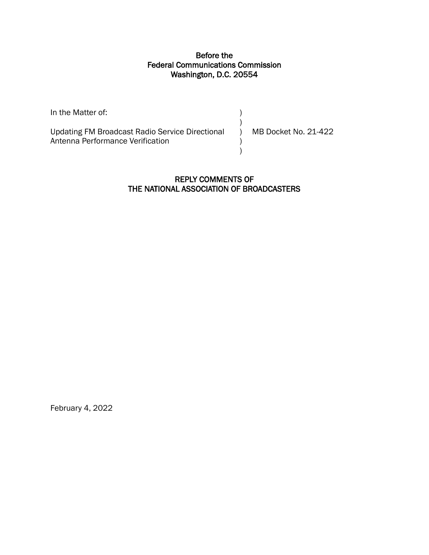### Before the Federal Communications Commission Washington, D.C. 20554

| In the Matter of:                               |                      |
|-------------------------------------------------|----------------------|
|                                                 |                      |
| Updating FM Broadcast Radio Service Directional | MB Docket No. 21-422 |
| Antenna Performance Verification                |                      |
|                                                 |                      |

## REPLY COMMENTS OF THE NATIONAL ASSOCIATION OF BROADCASTERS

February 4, 2022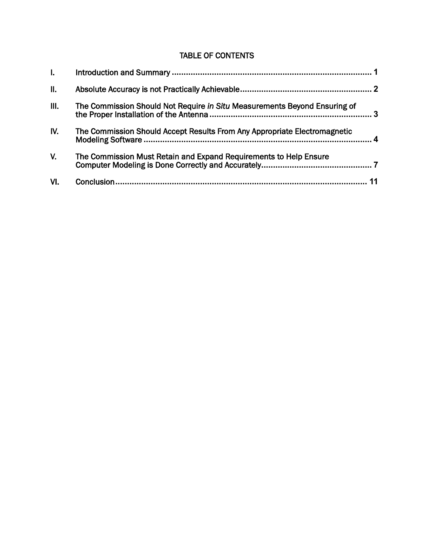# TABLE OF CONTENTS

| $\mathbf{L}$ |                                                                           |   |
|--------------|---------------------------------------------------------------------------|---|
| Ⅱ.           |                                                                           |   |
| III.         | The Commission Should Not Require in Situ Measurements Beyond Ensuring of | 3 |
| IV.          | The Commission Should Accept Results From Any Appropriate Electromagnetic |   |
| V.           | The Commission Must Retain and Expand Requirements to Help Ensure         |   |
| VI.          |                                                                           |   |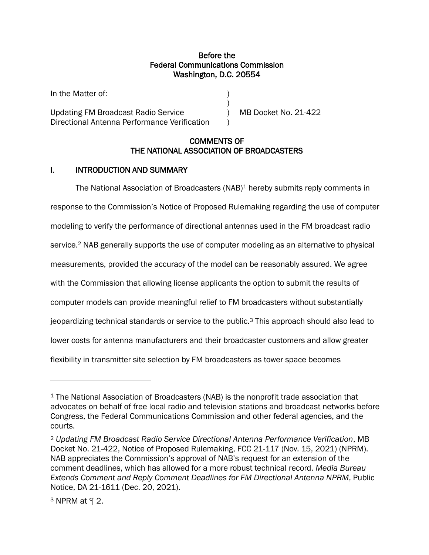### Before the Federal Communications Commission Washington, D.C. 20554

)

Updating FM Broadcast Radio Service ) MB Docket No. 21-422 Directional Antenna Performance Verification )

In the Matter of:

### COMMENTS OF THE NATIONAL ASSOCIATION OF BROADCASTERS

### <span id="page-2-0"></span>I. INTRODUCTION AND SUMMARY

The National Association of Broadcasters (NAB)<sup>1</sup> hereby submits reply comments in response to the Commission's Notice of Proposed Rulemaking regarding the use of computer modeling to verify the performance of directional antennas used in the FM broadcast radio service.<sup>2</sup> NAB generally supports the use of computer modeling as an alternative to physical measurements, provided the accuracy of the model can be reasonably assured. We agree with the Commission that allowing license applicants the option to submit the results of computer models can provide meaningful relief to FM broadcasters without substantially jeopardizing technical standards or service to the public.<sup>3</sup> This approach should also lead to lower costs for antenna manufacturers and their broadcaster customers and allow greater flexibility in transmitter site selection by FM broadcasters as tower space becomes

<sup>1</sup> The National Association of Broadcasters (NAB) is the nonprofit trade association that advocates on behalf of free local radio and television stations and broadcast networks before Congress, the Federal Communications Commission and other federal agencies, and the courts.

<sup>2</sup> *Updating FM Broadcast Radio Service Directional Antenna Performance Verification*, MB Docket No. 21-422, Notice of Proposed Rulemaking, FCC 21-117 (Nov. 15, 2021) (NPRM). NAB appreciates the Commission's approval of NAB's request for an extension of the comment deadlines, which has allowed for a more robust technical record. *Media Bureau Extends Comment and Reply Comment Deadlines for FM Directional Antenna NPRM*, Public Notice, DA 21-1611 (Dec. 20, 2021).

<sup>3</sup> NPRM at ¶ 2.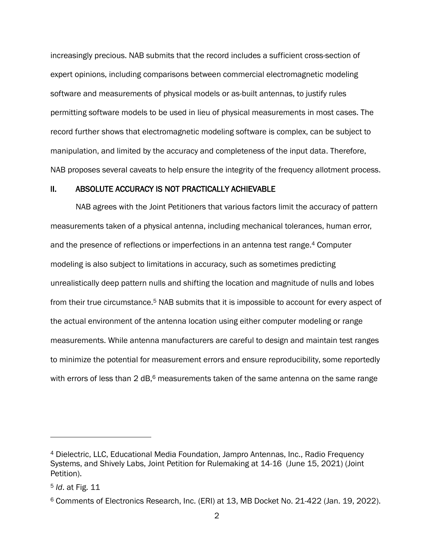increasingly precious. NAB submits that the record includes a sufficient cross-section of expert opinions, including comparisons between commercial electromagnetic modeling software and measurements of physical models or as-built antennas, to justify rules permitting software models to be used in lieu of physical measurements in most cases. The record further shows that electromagnetic modeling software is complex, can be subject to manipulation, and limited by the accuracy and completeness of the input data. Therefore, NAB proposes several caveats to help ensure the integrity of the frequency allotment process.

#### <span id="page-3-0"></span>II. ABSOLUTE ACCURACY IS NOT PRACTICALLY ACHIEVABLE

NAB agrees with the Joint Petitioners that various factors limit the accuracy of pattern measurements taken of a physical antenna, including mechanical tolerances, human error, and the presence of reflections or imperfections in an antenna test range.<sup>4</sup> Computer modeling is also subject to limitations in accuracy, such as sometimes predicting unrealistically deep pattern nulls and shifting the location and magnitude of nulls and lobes from their true circumstance.<sup>5</sup> NAB submits that it is impossible to account for every aspect of the actual environment of the antenna location using either computer modeling or range measurements. While antenna manufacturers are careful to design and maintain test ranges to minimize the potential for measurement errors and ensure reproducibility, some reportedly with errors of less than 2 dB,<sup>6</sup> measurements taken of the same antenna on the same range

<sup>4</sup> Dielectric, LLC, Educational Media Foundation, Jampro Antennas, Inc., Radio Frequency Systems, and Shively Labs, Joint Petition for Rulemaking at 14-16 (June 15, 2021) (Joint Petition).

<sup>5</sup> *Id*. at Fig. 11

<sup>6</sup> Comments of Electronics Research, Inc. (ERI) at 13, MB Docket No. 21-422 (Jan. 19, 2022).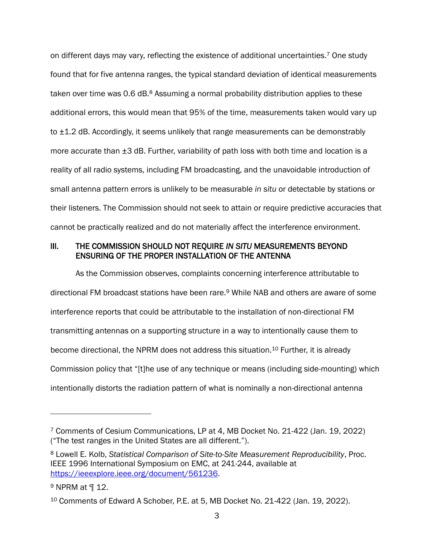on different days may vary, reflecting the existence of additional uncertainties.<sup>7</sup> One study found that for five antenna ranges, the typical standard deviation of identical measurements taken over time was 0.6 dB.<sup>8</sup> Assuming a normal probability distribution applies to these additional errors, this would mean that 95% of the time, measurements taken would vary up to ±1.2 dB. Accordingly, it seems unlikely that range measurements can be demonstrably more accurate than ±3 dB. Further, variability of path loss with both time and location is a reality of all radio systems, including FM broadcasting, and the unavoidable introduction of small antenna pattern errors is unlikely to be measurable *in situ* or detectable by stations or their listeners. The Commission should not seek to attain or require predictive accuracies that cannot be practically realized and do not materially affect the interference environment.

### <span id="page-4-0"></span>III. THE COMMISSION SHOULD NOT REQUIRE *IN SITU* MEASUREMENTS BEYOND ENSURING OF THE PROPER INSTALLATION OF THE ANTENNA

As the Commission observes, complaints concerning interference attributable to directional FM broadcast stations have been rare.<sup>9</sup> While NAB and others are aware of some interference reports that could be attributable to the installation of non-directional FM transmitting antennas on a supporting structure in a way to intentionally cause them to become directional, the NPRM does not address this situation.<sup>10</sup> Further, it is already Commission policy that "[t]he use of any technique or means (including side-mounting) which intentionally distorts the radiation pattern of what is nominally a non-directional antenna

<sup>7</sup> Comments of Cesium Communications, LP at 4, MB Docket No. 21-422 (Jan. 19, 2022) ("The test ranges in the United States are all different.").

<sup>8</sup> Lowell E. Kolb, *Statistical Comparison of Site-to-Site Measurement Reproducibility*, Proc. IEEE 1996 International Symposium on EMC, at 241-244, available at [https://ieeexplore.ieee.org/document/561236.](https://ieeexplore.ieee.org/document/561236)

<sup>9</sup> NPRM at ¶ 12.

<sup>10</sup> Comments of Edward A Schober, P.E. at 5, MB Docket No. 21-422 (Jan. 19, 2022).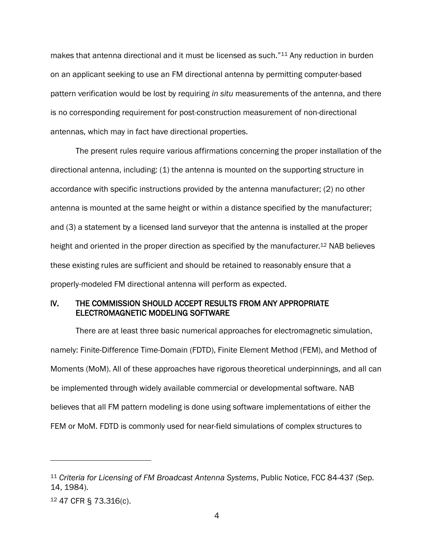makes that antenna directional and it must be licensed as such."<sup>11</sup> Any reduction in burden on an applicant seeking to use an FM directional antenna by permitting computer-based pattern verification would be lost by requiring *in situ* measurements of the antenna, and there is no corresponding requirement for post-construction measurement of non-directional antennas, which may in fact have directional properties.

The present rules require various affirmations concerning the proper installation of the directional antenna, including: (1) the antenna is mounted on the supporting structure in accordance with specific instructions provided by the antenna manufacturer; (2) no other antenna is mounted at the same height or within a distance specified by the manufacturer; and (3) a statement by a licensed land surveyor that the antenna is installed at the proper height and oriented in the proper direction as specified by the manufacturer.<sup>12</sup> NAB believes these existing rules are sufficient and should be retained to reasonably ensure that a properly-modeled FM directional antenna will perform as expected.

### <span id="page-5-0"></span>IV. THE COMMISSION SHOULD ACCEPT RESULTS FROM ANY APPROPRIATE ELECTROMAGNETIC MODELING SOFTWARE

There are at least three basic numerical approaches for electromagnetic simulation, namely: Finite-Difference Time-Domain (FDTD), Finite Element Method (FEM), and Method of Moments (MoM). All of these approaches have rigorous theoretical underpinnings, and all can be implemented through widely available commercial or developmental software. NAB believes that all FM pattern modeling is done using software implementations of either the FEM or MoM. FDTD is commonly used for near-field simulations of complex structures to

<sup>11</sup> *Criteria for Licensing of FM Broadcast Antenna Systems*, Public Notice, FCC 84-437 (Sep. 14, 1984).

<sup>12</sup> 47 CFR § 73.316(c).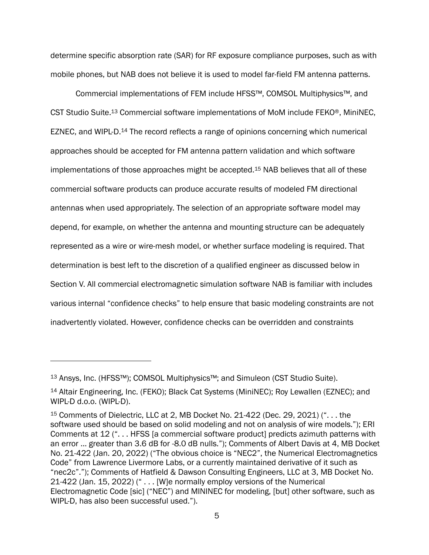determine specific absorption rate (SAR) for RF exposure compliance purposes, such as with mobile phones, but NAB does not believe it is used to model far-field FM antenna patterns.

Commercial implementations of FEM include HFSS™, COMSOL Multiphysics™, and CST Studio Suite.<sup>13</sup> Commercial software implementations of MoM include FEKO®, MiniNEC, EZNEC, and WIPL-D.<sup>14</sup> The record reflects a range of opinions concerning which numerical approaches should be accepted for FM antenna pattern validation and which software implementations of those approaches might be accepted.<sup>15</sup> NAB believes that all of these commercial software products can produce accurate results of modeled FM directional antennas when used appropriately. The selection of an appropriate software model may depend, for example, on whether the antenna and mounting structure can be adequately represented as a wire or wire-mesh model, or whether surface modeling is required. That determination is best left to the discretion of a qualified engineer as discussed below in Section V. All commercial electromagnetic simulation software NAB is familiar with includes various internal "confidence checks" to help ensure that basic modeling constraints are not inadvertently violated. However, confidence checks can be overridden and constraints

<sup>13</sup> Ansys, Inc. (HFSS™); COMSOL Multiphysics™; and Simuleon (CST Studio Suite).

<sup>14</sup> Altair Engineering, Inc. (FEKO); Black Cat Systems (MiniNEC); Roy Lewallen (EZNEC); and WIPL-D d.o.o. (WIPL-D).

<sup>15</sup> Comments of Dielectric, LLC at 2, MB Docket No. 21-422 (Dec. 29, 2021) (". . . the software used should be based on solid modeling and not on analysis of wire models."); ERI Comments at 12 (". . . HFSS [a commercial software product] predicts azimuth patterns with an error … greater than 3.6 dB for -8.0 dB nulls."); Comments of Albert Davis at 4, MB Docket No. 21-422 (Jan. 20, 2022) ("The obvious choice is "NEC2", the Numerical Electromagnetics Code" from Lawrence Livermore Labs, or a currently maintained derivative of it such as "nec2c"."); Comments of Hatfield & Dawson Consulting Engineers, LLC at 3, MB Docket No. 21-422 (Jan. 15, 2022) (" . . . [W]e normally employ versions of the Numerical Electromagnetic Code [sic] ("NEC") and MININEC for modeling, [but] other software, such as WIPL-D, has also been successful used.").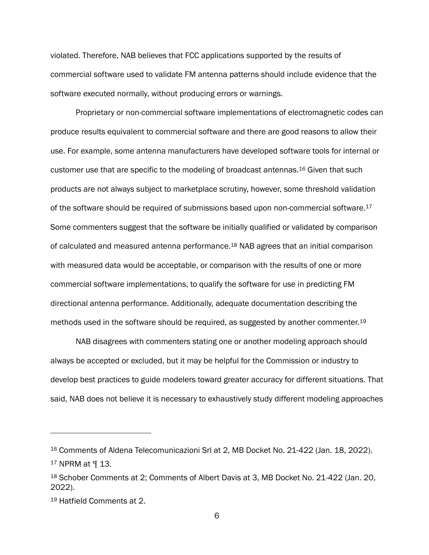violated. Therefore, NAB believes that FCC applications supported by the results of commercial software used to validate FM antenna patterns should include evidence that the software executed normally, without producing errors or warnings.

Proprietary or non-commercial software implementations of electromagnetic codes can produce results equivalent to commercial software and there are good reasons to allow their use. For example, some antenna manufacturers have developed software tools for internal or customer use that are specific to the modeling of broadcast antennas.<sup>16</sup> Given that such products are not always subject to marketplace scrutiny, however, some threshold validation of the software should be required of submissions based upon non-commercial software.<sup>17</sup> Some commenters suggest that the software be initially qualified or validated by comparison of calculated and measured antenna performance.<sup>18</sup> NAB agrees that an initial comparison with measured data would be acceptable, or comparison with the results of one or more commercial software implementations, to qualify the software for use in predicting FM directional antenna performance. Additionally, adequate documentation describing the methods used in the software should be required, as suggested by another commenter.<sup>19</sup>

NAB disagrees with commenters stating one or another modeling approach should always be accepted or excluded, but it may be helpful for the Commission or industry to develop best practices to guide modelers toward greater accuracy for different situations. That said, NAB does not believe it is necessary to exhaustively study different modeling approaches

<sup>16</sup> Comments of Aldena Telecomunicazioni Srl at 2, MB Docket No. 21-422 (Jan. 18, 2022).

<sup>17</sup> NPRM at ¶ 13.

<sup>18</sup> Schober Comments at 2; Comments of Albert Davis at 3, MB Docket No. 21-422 (Jan. 20, 2022).

<sup>19</sup> Hatfield Comments at 2.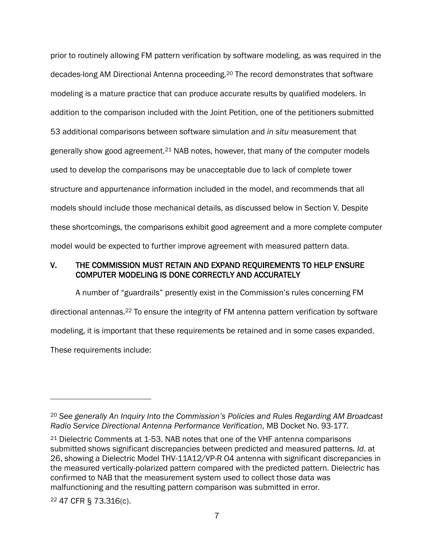prior to routinely allowing FM pattern verification by software modeling, as was required in the decades-long AM Directional Antenna proceeding. <sup>20</sup> The record demonstrates that software modeling is a mature practice that can produce accurate results by qualified modelers. In addition to the comparison included with the Joint Petition, one of the petitioners submitted 53 additional comparisons between software simulation and *in situ* measurement that generally show good agreement.<sup>21</sup> NAB notes, however, that many of the computer models used to develop the comparisons may be unacceptable due to lack of complete tower structure and appurtenance information included in the model, and recommends that all models should include those mechanical details, as discussed below in Section V. Despite these shortcomings, the comparisons exhibit good agreement and a more complete computer model would be expected to further improve agreement with measured pattern data.

### <span id="page-8-0"></span>V. THE COMMISSION MUST RETAIN AND EXPAND REQUIREMENTS TO HELP ENSURE COMPUTER MODELING IS DONE CORRECTLY AND ACCURATELY

A number of "guardrails" presently exist in the Commission's rules concerning FM directional antennas.<sup>22</sup> To ensure the integrity of FM antenna pattern verification by software modeling, it is important that these requirements be retained and in some cases expanded. These requirements include:

<sup>22</sup> 47 CFR § 73.316(c).

<sup>20</sup> *See generally An Inquiry Into the Commission's Policies and Rules Regarding AM Broadcast Radio Service Directional Antenna Performance Verification*, MB Docket No. 93-177.

<sup>21</sup> Dielectric Comments at 1-53. NAB notes that one of the VHF antenna comparisons submitted shows significant discrepancies between predicted and measured patterns*. Id*. at 26, showing a Dielectric Model THV-11A12/VP-R O4 antenna with significant discrepancies in the measured vertically-polarized pattern compared with the predicted pattern. Dielectric has confirmed to NAB that the measurement system used to collect those data was malfunctioning and the resulting pattern comparison was submitted in error.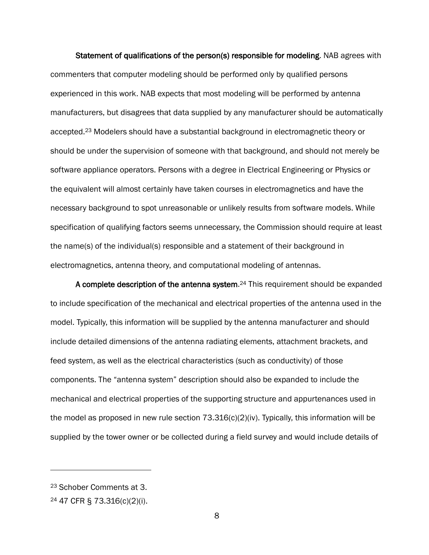Statement of qualifications of the person(s) responsible for modeling. NAB agrees with commenters that computer modeling should be performed only by qualified persons experienced in this work. NAB expects that most modeling will be performed by antenna manufacturers, but disagrees that data supplied by any manufacturer should be automatically accepted.<sup>23</sup> Modelers should have a substantial background in electromagnetic theory or should be under the supervision of someone with that background, and should not merely be software appliance operators. Persons with a degree in Electrical Engineering or Physics or the equivalent will almost certainly have taken courses in electromagnetics and have the necessary background to spot unreasonable or unlikely results from software models. While specification of qualifying factors seems unnecessary, the Commission should require at least the name(s) of the individual(s) responsible and a statement of their background in electromagnetics, antenna theory, and computational modeling of antennas.

A complete description of the antenna system.<sup>24</sup> This requirement should be expanded to include specification of the mechanical and electrical properties of the antenna used in the model. Typically, this information will be supplied by the antenna manufacturer and should include detailed dimensions of the antenna radiating elements, attachment brackets, and feed system, as well as the electrical characteristics (such as conductivity) of those components. The "antenna system" description should also be expanded to include the mechanical and electrical properties of the supporting structure and appurtenances used in the model as proposed in new rule section  $73.316(c)(2)(iv)$ . Typically, this information will be supplied by the tower owner or be collected during a field survey and would include details of

<sup>23</sup> Schober Comments at 3.

<sup>24</sup> 47 CFR § 73.316(c)(2)(i).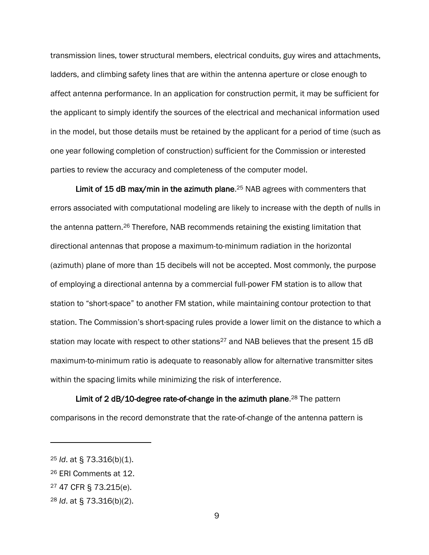transmission lines, tower structural members, electrical conduits, guy wires and attachments, ladders, and climbing safety lines that are within the antenna aperture or close enough to affect antenna performance. In an application for construction permit, it may be sufficient for the applicant to simply identify the sources of the electrical and mechanical information used in the model, but those details must be retained by the applicant for a period of time (such as one year following completion of construction) sufficient for the Commission or interested parties to review the accuracy and completeness of the computer model.

Limit of 15 dB max/min in the azimuth plane.<sup>25</sup> NAB agrees with commenters that errors associated with computational modeling are likely to increase with the depth of nulls in the antenna pattern.<sup>26</sup> Therefore, NAB recommends retaining the existing limitation that directional antennas that propose a maximum-to-minimum radiation in the horizontal (azimuth) plane of more than 15 decibels will not be accepted. Most commonly, the purpose of employing a directional antenna by a commercial full-power FM station is to allow that station to "short-space" to another FM station, while maintaining contour protection to that station. The Commission's short-spacing rules provide a lower limit on the distance to which a station may locate with respect to other stations<sup>27</sup> and NAB believes that the present 15 dB maximum-to-minimum ratio is adequate to reasonably allow for alternative transmitter sites within the spacing limits while minimizing the risk of interference.

Limit of 2 dB/10-degree rate-of-change in the azimuth plane.<sup>28</sup> The pattern comparisons in the record demonstrate that the rate-of-change of the antenna pattern is

<sup>25</sup> *Id*. at § 73.316(b)(1).

<sup>26</sup> ERI Comments at 12.

<sup>27</sup> 47 CFR § 73.215(e).

<sup>28</sup> *Id*. at § 73.316(b)(2).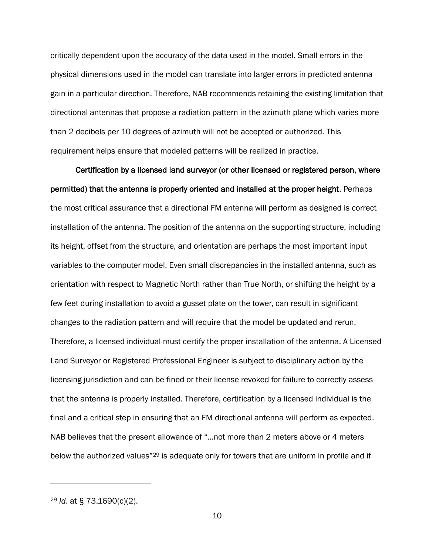critically dependent upon the accuracy of the data used in the model. Small errors in the physical dimensions used in the model can translate into larger errors in predicted antenna gain in a particular direction. Therefore, NAB recommends retaining the existing limitation that directional antennas that propose a radiation pattern in the azimuth plane which varies more than 2 decibels per 10 degrees of azimuth will not be accepted or authorized. This requirement helps ensure that modeled patterns will be realized in practice.

Certification by a licensed land surveyor (or other licensed or registered person, where permitted) that the antenna is properly oriented and installed at the proper height. Perhaps the most critical assurance that a directional FM antenna will perform as designed is correct installation of the antenna. The position of the antenna on the supporting structure, including its height, offset from the structure, and orientation are perhaps the most important input variables to the computer model. Even small discrepancies in the installed antenna, such as orientation with respect to Magnetic North rather than True North, or shifting the height by a few feet during installation to avoid a gusset plate on the tower, can result in significant changes to the radiation pattern and will require that the model be updated and rerun. Therefore, a licensed individual must certify the proper installation of the antenna. A Licensed Land Surveyor or Registered Professional Engineer is subject to disciplinary action by the licensing jurisdiction and can be fined or their license revoked for failure to correctly assess that the antenna is properly installed. Therefore, certification by a licensed individual is the final and a critical step in ensuring that an FM directional antenna will perform as expected. NAB believes that the present allowance of "…not more than 2 meters above or 4 meters below the authorized values<sup>"29</sup> is adequate only for towers that are uniform in profile and if

<sup>29</sup> *Id*. at § 73.1690(c)(2).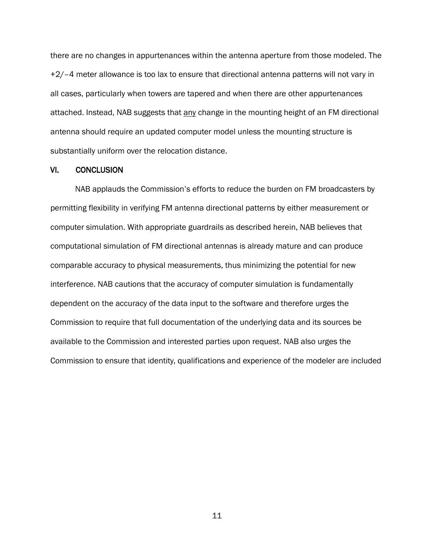there are no changes in appurtenances within the antenna aperture from those modeled. The +2/–4 meter allowance is too lax to ensure that directional antenna patterns will not vary in all cases, particularly when towers are tapered and when there are other appurtenances attached. Instead, NAB suggests that any change in the mounting height of an FM directional antenna should require an updated computer model unless the mounting structure is substantially uniform over the relocation distance.

#### <span id="page-12-0"></span>VI. CONCLUSION

NAB applauds the Commission's efforts to reduce the burden on FM broadcasters by permitting flexibility in verifying FM antenna directional patterns by either measurement or computer simulation. With appropriate guardrails as described herein, NAB believes that computational simulation of FM directional antennas is already mature and can produce comparable accuracy to physical measurements, thus minimizing the potential for new interference. NAB cautions that the accuracy of computer simulation is fundamentally dependent on the accuracy of the data input to the software and therefore urges the Commission to require that full documentation of the underlying data and its sources be available to the Commission and interested parties upon request. NAB also urges the Commission to ensure that identity, qualifications and experience of the modeler are included

11